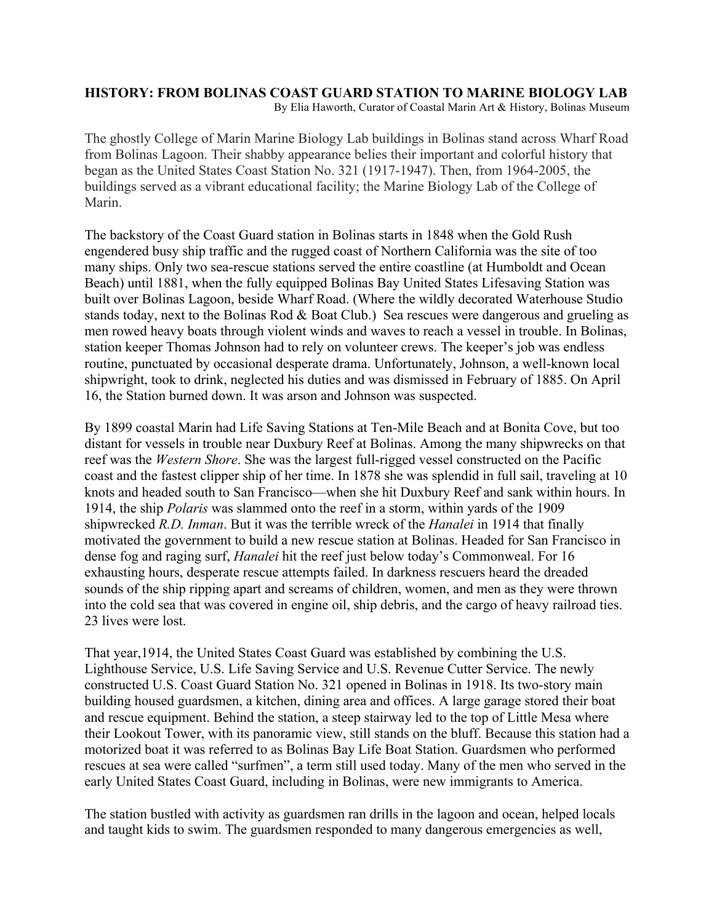## **HISTORY: FROM BOLINAS COAST GUARD STATION TO MARINE BIOLOGY LAB**

By Elia Haworth, Curator of Coastal Marin Art & History, Bolinas Museum

The ghostly College of Marin Marine Biology Lab buildings in Bolinas stand across Wharf Road from Bolinas Lagoon. Their shabby appearance belies their important and colorful history that began as the United States Coast Station No. 321 (1917-1947). Then, from 1964-2005, the buildings served as a vibrant educational facility; the Marine Biology Lab of the College of Marin.

The backstory of the Coast Guard station in Bolinas starts in 1848 when the Gold Rush engendered busy ship traffic and the rugged coast of Northern California was the site of too many ships. Only two sea-rescue stations served the entire coastline (at Humboldt and Ocean Beach) until 1881, when the fully equipped Bolinas Bay United States Lifesaving Station was built over Bolinas Lagoon, beside Wharf Road. (Where the wildly decorated Waterhouse Studio stands today, next to the Bolinas Rod & Boat Club.) Sea rescues were dangerous and grueling as men rowed heavy boats through violent winds and waves to reach a vessel in trouble. In Bolinas, station keeper Thomas Johnson had to rely on volunteer crews. The keeper's job was endless routine, punctuated by occasional desperate drama. Unfortunately, Johnson, a well-known local shipwright, took to drink, neglected his duties and was dismissed in February of 1885. On April 16, the Station burned down. It was arson and Johnson was suspected.

By 1899 coastal Marin had Life Saving Stations at Ten-Mile Beach and at Bonita Cove, but too distant for vessels in trouble near Duxbury Reef at Bolinas. Among the many shipwrecks on that reef was the *Western Shore*. She was the largest full-rigged vessel constructed on the Pacific coast and the fastest clipper ship of her time. In 1878 she was splendid in full sail, traveling at 10 knots and headed south to San Francisco—when she hit Duxbury Reef and sank within hours. In 1914, the ship *Polaris* was slammed onto the reef in a storm, within yards of the 1909 shipwrecked *R.D. Inman*. But it was the terrible wreck of the *Hanalei* in 1914 that finally motivated the government to build a new rescue station at Bolinas. Headed for San Francisco in dense fog and raging surf, *Hanalei* hit the reef just below today's Commonweal. For 16 exhausting hours, desperate rescue attempts failed. In darkness rescuers heard the dreaded sounds of the ship ripping apart and screams of children, women, and men as they were thrown into the cold sea that was covered in engine oil, ship debris, and the cargo of heavy railroad ties. 23 lives were lost.

That year,1914, the United States Coast Guard was established by combining the U.S. Lighthouse Service, U.S. Life Saving Service and U.S. Revenue Cutter Service. The newly constructed U.S. Coast Guard Station No. 321 opened in Bolinas in 1918. Its two-story main building housed guardsmen, a kitchen, dining area and offices. A large garage stored their boat and rescue equipment. Behind the station, a steep stairway led to the top of Little Mesa where their Lookout Tower, with its panoramic view, still stands on the bluff. Because this station had a motorized boat it was referred to as Bolinas Bay Life Boat Station. Guardsmen who performed rescues at sea were called "surfmen", a term still used today. Many of the men who served in the early United States Coast Guard, including in Bolinas, were new immigrants to America.

The station bustled with activity as guardsmen ran drills in the lagoon and ocean, helped locals and taught kids to swim. The guardsmen responded to many dangerous emergencies as well,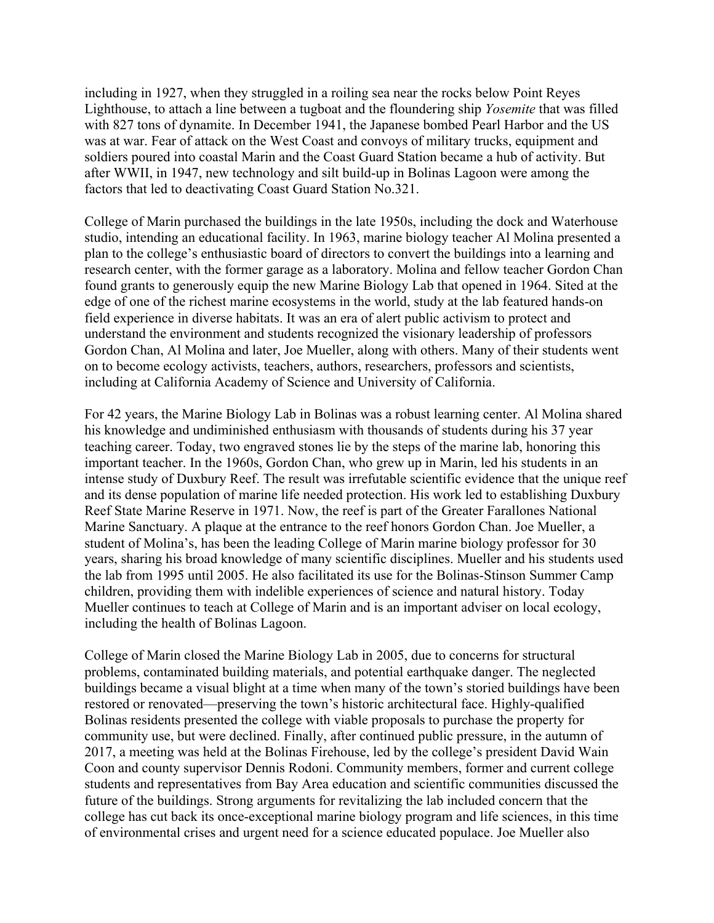including in 1927, when they struggled in a roiling sea near the rocks below Point Reyes Lighthouse, to attach a line between a tugboat and the floundering ship *Yosemite* that was filled with 827 tons of dynamite. In December 1941, the Japanese bombed Pearl Harbor and the US was at war. Fear of attack on the West Coast and convoys of military trucks, equipment and soldiers poured into coastal Marin and the Coast Guard Station became a hub of activity. But after WWII, in 1947, new technology and silt build-up in Bolinas Lagoon were among the factors that led to deactivating Coast Guard Station No.321.

College of Marin purchased the buildings in the late 1950s, including the dock and Waterhouse studio, intending an educational facility. In 1963, marine biology teacher Al Molina presented a plan to the college's enthusiastic board of directors to convert the buildings into a learning and research center, with the former garage as a laboratory. Molina and fellow teacher Gordon Chan found grants to generously equip the new Marine Biology Lab that opened in 1964. Sited at the edge of one of the richest marine ecosystems in the world, study at the lab featured hands-on field experience in diverse habitats. It was an era of alert public activism to protect and understand the environment and students recognized the visionary leadership of professors Gordon Chan, Al Molina and later, Joe Mueller, along with others. Many of their students went on to become ecology activists, teachers, authors, researchers, professors and scientists, including at California Academy of Science and University of California.

For 42 years, the Marine Biology Lab in Bolinas was a robust learning center. Al Molina shared his knowledge and undiminished enthusiasm with thousands of students during his 37 year teaching career. Today, two engraved stones lie by the steps of the marine lab, honoring this important teacher. In the 1960s, Gordon Chan, who grew up in Marin, led his students in an intense study of Duxbury Reef. The result was irrefutable scientific evidence that the unique reef and its dense population of marine life needed protection. His work led to establishing Duxbury Reef State Marine Reserve in 1971. Now, the reef is part of the Greater Farallones National Marine Sanctuary. A plaque at the entrance to the reef honors Gordon Chan. Joe Mueller, a student of Molina's, has been the leading College of Marin marine biology professor for 30 years, sharing his broad knowledge of many scientific disciplines. Mueller and his students used the lab from 1995 until 2005. He also facilitated its use for the Bolinas-Stinson Summer Camp children, providing them with indelible experiences of science and natural history. Today Mueller continues to teach at College of Marin and is an important adviser on local ecology, including the health of Bolinas Lagoon.

College of Marin closed the Marine Biology Lab in 2005, due to concerns for structural problems, contaminated building materials, and potential earthquake danger. The neglected buildings became a visual blight at a time when many of the town's storied buildings have been restored or renovated—preserving the town's historic architectural face. Highly-qualified Bolinas residents presented the college with viable proposals to purchase the property for community use, but were declined. Finally, after continued public pressure, in the autumn of 2017, a meeting was held at the Bolinas Firehouse, led by the college's president David Wain Coon and county supervisor Dennis Rodoni. Community members, former and current college students and representatives from Bay Area education and scientific communities discussed the future of the buildings. Strong arguments for revitalizing the lab included concern that the college has cut back its once-exceptional marine biology program and life sciences, in this time of environmental crises and urgent need for a science educated populace. Joe Mueller also